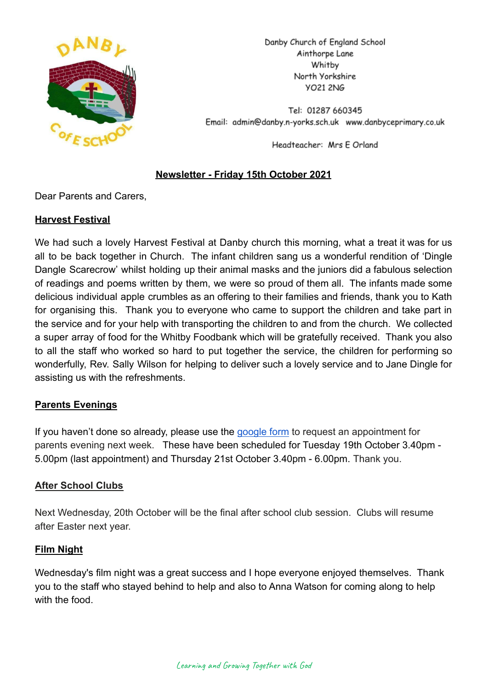

Danby Church of England School Ainthorpe Lane Whitby North Yorkshire **YO21 2NG** 

Tel: 01287 660345 Email: admin@danby.n-yorks.sch.uk www.danbyceprimary.co.uk

Headteacher: Mrs E Orland

### **Newsletter - Friday 15th October 2021**

Dear Parents and Carers,

### **Harvest Festival**

We had such a lovely Harvest Festival at Danby church this morning, what a treat it was for us all to be back together in Church. The infant children sang us a wonderful rendition of 'Dingle Dangle Scarecrow' whilst holding up their animal masks and the juniors did a fabulous selection of readings and poems written by them, we were so proud of them all. The infants made some delicious individual apple crumbles as an offering to their families and friends, thank you to Kath for organising this. Thank you to everyone who came to support the children and take part in the service and for your help with transporting the children to and from the church. We collected a super array of food for the Whitby Foodbank which will be gratefully received. Thank you also to all the staff who worked so hard to put together the service, the children for performing so wonderfully, Rev. Sally Wilson for helping to deliver such a lovely service and to Jane Dingle for assisting us with the refreshments.

# **Parents Evenings**

If you haven't done so already, please use the [google](https://forms.gle/5f17cJE4s4hiNYLh8) form to request an appointment for parents evening next week. These have been scheduled for Tuesday 19th October 3.40pm - 5.00pm (last appointment) and Thursday 21st October 3.40pm - 6.00pm. Thank you.

### **After School Clubs**

Next Wednesday, 20th October will be the final after school club session. Clubs will resume after Easter next year.

### **Film Night**

Wednesday's film night was a great success and I hope everyone enjoyed themselves. Thank you to the staff who stayed behind to help and also to Anna Watson for coming along to help with the food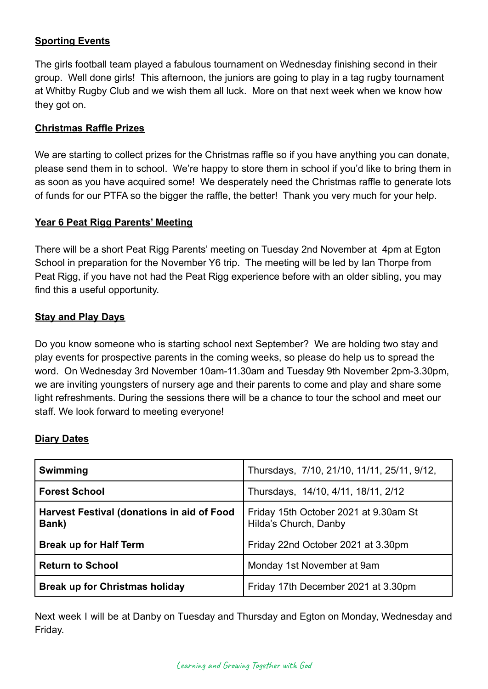### **Sporting Events**

The girls football team played a fabulous tournament on Wednesday finishing second in their group. Well done girls! This afternoon, the juniors are going to play in a tag rugby tournament at Whitby Rugby Club and we wish them all luck. More on that next week when we know how they got on.

### **Christmas Raffle Prizes**

We are starting to collect prizes for the Christmas raffle so if you have anything you can donate, please send them in to school. We're happy to store them in school if you'd like to bring them in as soon as you have acquired some! We desperately need the Christmas raffle to generate lots of funds for our PTFA so the bigger the raffle, the better! Thank you very much for your help.

### **Year 6 Peat Rigg Parents' Meeting**

There will be a short Peat Rigg Parents' meeting on Tuesday 2nd November at 4pm at Egton School in preparation for the November Y6 trip. The meeting will be led by Ian Thorpe from Peat Rigg, if you have not had the Peat Rigg experience before with an older sibling, you may find this a useful opportunity.

### **Stay and Play Days**

Do you know someone who is starting school next September? We are holding two stay and play events for prospective parents in the coming weeks, so please do help us to spread the word. On Wednesday 3rd November 10am-11.30am and Tuesday 9th November 2pm-3.30pm, we are inviting youngsters of nursery age and their parents to come and play and share some light refreshments. During the sessions there will be a chance to tour the school and meet our staff. We look forward to meeting everyone!

### **Diary Dates**

| Swimming                                            | Thursdays, 7/10, 21/10, 11/11, 25/11, 9/12,                    |
|-----------------------------------------------------|----------------------------------------------------------------|
| <b>Forest School</b>                                | Thursdays, 14/10, 4/11, 18/11, 2/12                            |
| Harvest Festival (donations in aid of Food<br>Bank) | Friday 15th October 2021 at 9.30am St<br>Hilda's Church, Danby |
| <b>Break up for Half Term</b>                       | Friday 22nd October 2021 at 3.30pm                             |
| <b>Return to School</b>                             | Monday 1st November at 9am                                     |
| <b>Break up for Christmas holiday</b>               | Friday 17th December 2021 at 3.30pm                            |

Next week I will be at Danby on Tuesday and Thursday and Egton on Monday, Wednesday and Friday.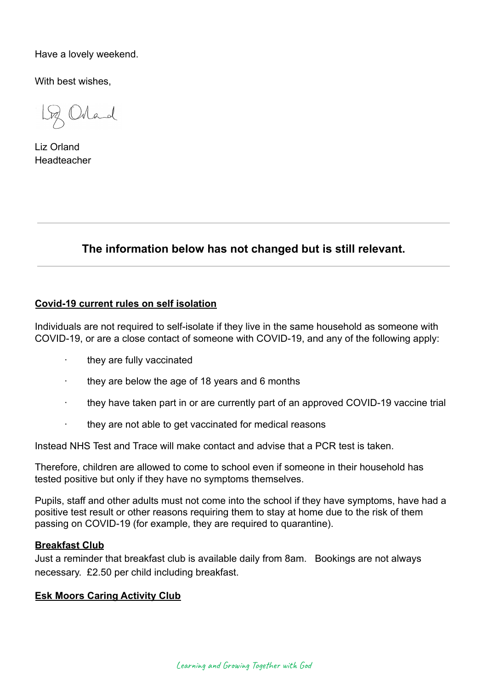Have a lovely weekend.

With best wishes,

Orland

Liz Orland Headteacher

# **The information below has not changed but is still relevant.**

#### **Covid-19 current rules on self isolation**

Individuals are not required to self-isolate if they live in the same household as someone with COVID-19, or are a close contact of someone with COVID-19, and any of the following apply:

- they are fully vaccinated
- · they are below the age of 18 years and 6 months
- they have taken part in or are currently part of an approved COVID-19 vaccine trial
- · they are not able to get vaccinated for medical reasons

Instead NHS Test and Trace will make contact and advise that a PCR test is taken.

Therefore, children are allowed to come to school even if someone in their household has tested positive but only if they have no symptoms themselves.

Pupils, staff and other adults must not come into the school if they have symptoms, have had a positive test result or other reasons requiring them to stay at home due to the risk of them passing on COVID-19 (for example, they are required to quarantine).

#### **Breakfast Club**

Just a reminder that breakfast club is available daily from 8am. Bookings are not always necessary. £2.50 per child including breakfast.

#### **Esk Moors Caring Activity Club**